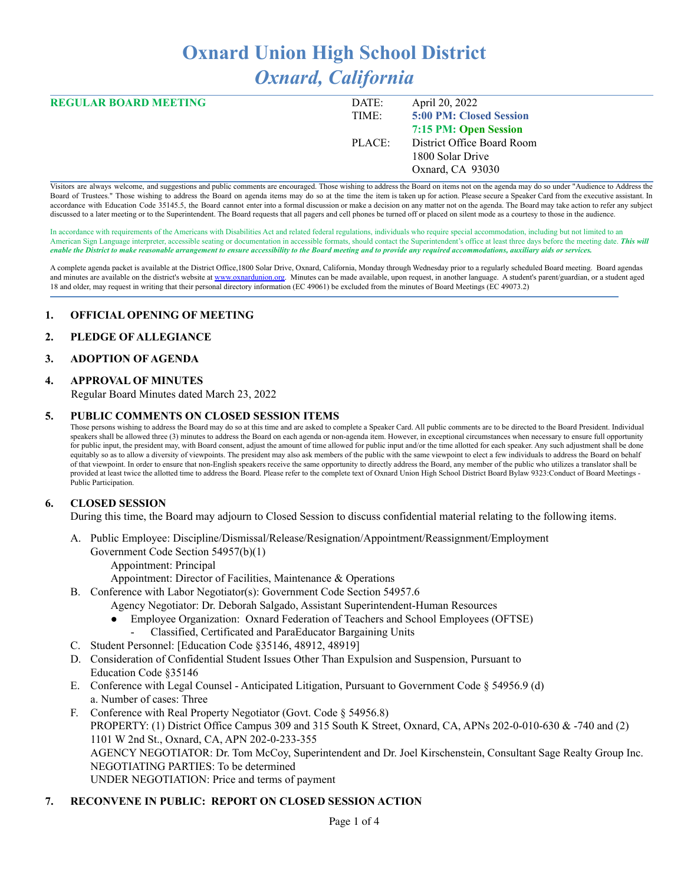# **Oxnard Union High School District** *Oxnard, California*

| <b>REGULAR BOARD MEETING</b> | DATE:  | April 20, 2022             |
|------------------------------|--------|----------------------------|
|                              | TIME:  | 5:00 PM: Closed Session    |
|                              |        | 7:15 PM: Open Session      |
|                              | PLACE: | District Office Board Room |
|                              |        | 1800 Solar Drive           |
|                              |        | Oxnard, CA 93030           |

Visitors are always welcome, and suggestions and public comments are encouraged. Those wishing to address the Board on items not on the agenda may do so under "Audience to Address the Board of Trustees." Those wishing to address the Board on agenda items may do so at the time the item is taken up for action. Please secure a Speaker Card from the executive assistant. In accordance with Education Code 35145.5, the Board cannot enter into a formal discussion or make a decision on any matter not on the agenda. The Board may take action to refer any subject discussed to a later meeting or to the Superintendent. The Board requests that all pagers and cell phones be turned off or placed on silent mode as a courtesy to those in the audience.

In accordance with requirements of the Americans with Disabilities Act and related federal regulations, individuals who require special accommodation, including but not limited to an American Sign Language interpreter, accessible seating or documentation in accessible formats, should contact the Superintendent's office at least three days before the meeting date. *This will* enable the District to make reasonable arrangement to ensure accessibility to the Board meeting and to provide any required accommodations, auxiliary aids or services.

A complete agenda packet is available at the District Office,1800 Solar Drive, Oxnard, California, Monday through Wednesday prior to a regularly scheduled Board meeting. Board agendas and minutes are available on the district's website at [www.o](http://www.o)xnardunion.org. Minutes can be made available, upon request, in another language. A student's parent/guardian, or a student aged 18 and older, may request in writing that their personal directory information (EC 49061) be excluded from the minutes of Board Meetings (EC 49073.2)

#### **1. OFFICIAL OPENING OF MEETING**

#### **2. PLEDGE OF ALLEGIANCE**

#### **3. ADOPTION OF AGENDA**

#### **4. APPROVAL OF MINUTES**

Regular Board Minutes dated March 23, 2022

#### **5. PUBLIC COMMENTS ON CLOSED SESSION ITEMS**

Those persons wishing to address the Board may do so at this time and are asked to complete a Speaker Card. All public comments are to be directed to the Board President. Individual speakers shall be allowed three (3) minutes to address the Board on each agenda or non-agenda item. However, in exceptional circumstances when necessary to ensure full opportunity for public input, the president may, with Board consent, adjust the amount of time allowed for public input and/or the time allotted for each speaker. Any such adjustment shall be done equitably so as to allow a diversity of viewpoints. The president may also ask members of the public with the same viewpoint to elect a few individuals to address the Board on behalf of that viewpoint. In order to ensure that non-English speakers receive the same opportunity to directly address the Board, any member of the public who utilizes a translator shall be provided at least twice the allotted time to address the Board. Please refer to the complete text of Oxnard Union High School District Board Bylaw 9323:Conduct of Board Meetings -Public Participation.

#### **6. CLOSED SESSION**

During this time, the Board may adjourn to Closed Session to discuss confidential material relating to the following items.

- A. Public Employee: Discipline/Dismissal/Release/Resignation/Appointment/Reassignment/Employment
	- Government Code Section 54957(b)(1)
		- Appointment: Principal
		- Appointment: Director of Facilities, Maintenance & Operations
- B. Conference with Labor Negotiator(s): Government Code Section 54957.6
	- Agency Negotiator: Dr. Deborah Salgado, Assistant Superintendent-Human Resources
		- Employee Organization: Oxnard Federation of Teachers and School Employees (OFTSE)
			- Classified, Certificated and ParaEducator Bargaining Units
- C. Student Personnel: [Education Code §35146, 48912, 48919]
- D. Consideration of Confidential Student Issues Other Than Expulsion and Suspension, Pursuant to Education Code §35146
- E. Conference with Legal Counsel Anticipated Litigation, Pursuant to Government Code § 54956.9 (d) a. Number of cases: Three
- F. Conference with Real Property Negotiator (Govt. Code § 54956.8) PROPERTY: (1) District Office Campus 309 and 315 South K Street, Oxnard, CA, APNs 202-0-010-630 & -740 and (2) 1101 W 2nd St., Oxnard, CA, APN 202-0-233-355 AGENCY NEGOTIATOR: Dr. Tom McCoy, Superintendent and Dr. Joel Kirschenstein, Consultant Sage Realty Group Inc. NEGOTIATING PARTIES: To be determined UNDER NEGOTIATION: Price and terms of payment

#### **7. RECONVENE IN PUBLIC: REPORT ON CLOSED SESSION ACTION**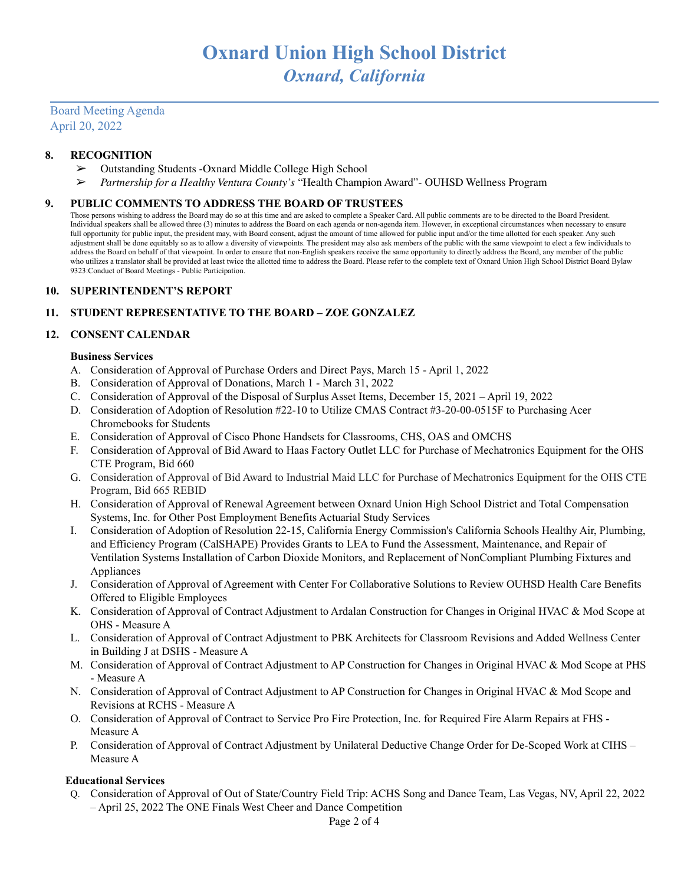## Board Meeting Agenda April 20, 2022

## **8. RECOGNITION**

- ➢ Outstanding Students -Oxnard Middle College High School
- ➢ *Partnership for a Healthy Ventura County's* "Health Champion Award"- OUHSD Wellness Program

#### **9. PUBLIC COMMENTS TO ADDRESS THE BOARD OF TRUSTEES**

Those persons wishing to address the Board may do so at this time and are asked to complete a Speaker Card. All public comments are to be directed to the Board President. Individual speakers shall be allowed three (3) minutes to address the Board on each agenda or non-agenda item. However, in exceptional circumstances when necessary to ensure full opportunity for public input, the president may, with Board consent, adjust the amount of time allowed for public input and/or the time allotted for each speaker. Any such adjustment shall be done equitably so as to allow a diversity of viewpoints. The president may also ask members of the public with the same viewpoint to elect a few individuals to address the Board on behalf of that viewpoint. In order to ensure that non-English speakers receive the same opportunity to directly address the Board, any member of the public who utilizes a translator shall be provided at least twice the allotted time to address the Board. Please refer to the complete text of Oxnard Union High School District Board Bylaw 9323:Conduct of Board Meetings - Public Participation.

#### **10. SUPERINTENDENT'S REPORT**

## **11. STUDENT REPRESENTATIVE TO THE BOARD – ZOE GONZALEZ**

#### **12. CONSENT CALENDAR**

#### **Business Services**

- A. Consideration of Approval of Purchase Orders and Direct Pays, March 15 April 1, 2022
- B. Consideration of Approval of Donations, March 1 March 31, 2022
- C. Consideration of Approval of the Disposal of Surplus Asset Items, December 15, 2021 April 19, 2022
- D. Consideration of Adoption of Resolution #22-10 to Utilize CMAS Contract #3-20-00-0515F to Purchasing Acer Chromebooks for Students
- E. Consideration of Approval of Cisco Phone Handsets for Classrooms, CHS, OAS and OMCHS
- F. Consideration of Approval of Bid Award to Haas Factory Outlet LLC for Purchase of Mechatronics Equipment for the OHS CTE Program, Bid 660
- G. Consideration of Approval of Bid Award to Industrial Maid LLC for Purchase of Mechatronics Equipment for the OHS CTE Program, Bid 665 REBID
- H. Consideration of Approval of Renewal Agreement between Oxnard Union High School District and Total Compensation Systems, Inc. for Other Post Employment Benefits Actuarial Study Services
- I. Consideration of Adoption of Resolution 22-15, California Energy Commission's California Schools Healthy Air, Plumbing, and Efficiency Program (CalSHAPE) Provides Grants to LEA to Fund the Assessment, Maintenance, and Repair of Ventilation Systems Installation of Carbon Dioxide Monitors, and Replacement of NonCompliant Plumbing Fixtures and Appliances
- J. Consideration of Approval of Agreement with Center For Collaborative Solutions to Review OUHSD Health Care Benefits Offered to Eligible Employees
- K. Consideration of Approval of Contract Adjustment to Ardalan Construction for Changes in Original HVAC & Mod Scope at OHS - Measure A
- L. Consideration of Approval of Contract Adjustment to PBK Architects for Classroom Revisions and Added Wellness Center in Building J at DSHS - Measure A
- M. Consideration of Approval of Contract Adjustment to AP Construction for Changes in Original HVAC & Mod Scope at PHS - Measure A
- N. Consideration of Approval of Contract Adjustment to AP Construction for Changes in Original HVAC & Mod Scope and Revisions at RCHS - Measure A
- O. Consideration of Approval of Contract to Service Pro Fire Protection, Inc. for Required Fire Alarm Repairs at FHS Measure A
- P. Consideration of Approval of Contract Adjustment by Unilateral Deductive Change Order for De-Scoped Work at CIHS Measure A

#### **Educational Services**

Q. Consideration of Approval of Out of State/Country Field Trip: ACHS Song and Dance Team, Las Vegas, NV, April 22, 2022 – April 25, 2022 The ONE Finals West Cheer and Dance Competition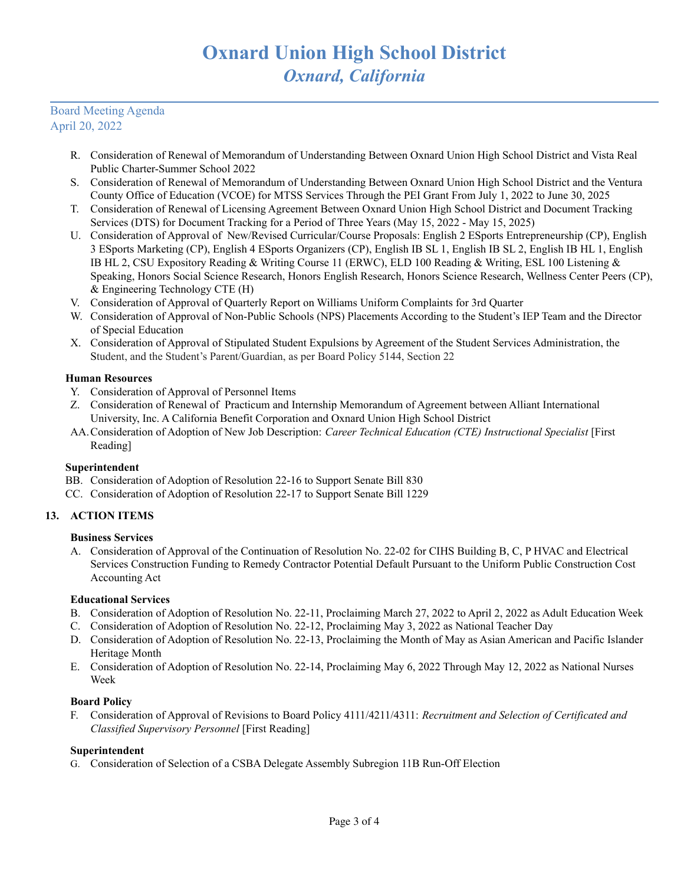## Board Meeting Agenda April 20, 2022

- R. Consideration of Renewal of Memorandum of Understanding Between Oxnard Union High School District and Vista Real Public Charter-Summer School 2022
- S. Consideration of Renewal of Memorandum of Understanding Between Oxnard Union High School District and the Ventura County Office of Education (VCOE) for MTSS Services Through the PEI Grant From July 1, 2022 to June 30, 2025
- T. Consideration of Renewal of Licensing Agreement Between Oxnard Union High School District and Document Tracking Services (DTS) for Document Tracking for a Period of Three Years (May 15, 2022 - May 15, 2025)
- U. Consideration of Approval of New/Revised Curricular/Course Proposals: English 2 ESports Entrepreneurship (CP), English 3 ESports Marketing (CP), English 4 ESports Organizers (CP), English IB SL 1, English IB SL 2, English IB HL 1, English IB HL 2, CSU Expository Reading & Writing Course 11 (ERWC), ELD 100 Reading & Writing, ESL 100 Listening & Speaking, Honors Social Science Research, Honors English Research, Honors Science Research, Wellness Center Peers (CP), & Engineering Technology CTE (H)
- V. Consideration of Approval of Quarterly Report on Williams Uniform Complaints for 3rd Quarter
- W. Consideration of Approval of Non-Public Schools (NPS) Placements According to the Student's IEP Team and the Director of Special Education
- X. Consideration of Approval of Stipulated Student Expulsions by Agreement of the Student Services Administration, the Student, and the Student's Parent/Guardian, as per Board Policy 5144, Section 22

## **Human Resources**

- Y. Consideration of Approval of Personnel Items
- Z. Consideration of Renewal of Practicum and Internship Memorandum of Agreement between Alliant International University, Inc. A California Benefit Corporation and Oxnard Union High School District
- AA.Consideration of Adoption of New Job Description: *Career Technical Education (CTE) Instructional Specialist* [First Reading]

## **Superintendent**

- BB. Consideration of Adoption of Resolution 22-16 to Support Senate Bill 830
- CC. Consideration of Adoption of Resolution 22-17 to Support Senate Bill 1229

## **13. ACTION ITEMS**

## **Business Services**

A. Consideration of Approval of the Continuation of Resolution No. 22-02 for CIHS Building B, C, P HVAC and Electrical Services Construction Funding to Remedy Contractor Potential Default Pursuant to the Uniform Public Construction Cost Accounting Act

## **Educational Services**

- B. Consideration of Adoption of Resolution No. 22-11, Proclaiming March 27, 2022 to April 2, 2022 as Adult Education Week
- C. Consideration of Adoption of Resolution No. 22-12, Proclaiming May 3, 2022 as National Teacher Day
- D. Consideration of Adoption of Resolution No. 22-13, Proclaiming the Month of May as Asian American and Pacific Islander Heritage Month
- E. Consideration of Adoption of Resolution No. 22-14, Proclaiming May 6, 2022 Through May 12, 2022 as National Nurses Week

#### **Board Policy**

F. Consideration of Approval of Revisions to Board Policy 4111/4211/4311: *Recruitment and Selection of Certificated and Classified Supervisory Personnel* [First Reading]

#### **Superintendent**

G. Consideration of Selection of a CSBA Delegate Assembly Subregion 11B Run-Off Election